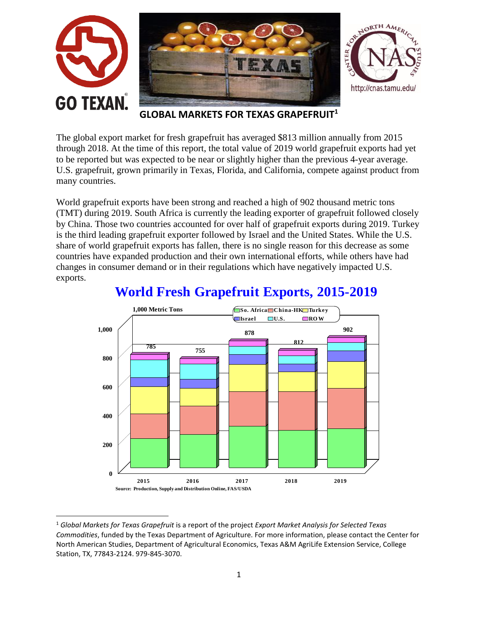

**GLOBAL MARKETS FOR TEXAS GRAPEFRUIT<sup>1</sup>**

The global export market for fresh grapefruit has averaged \$813 million annually from 2015 through 2018. At the time of this report, the total value of 2019 world grapefruit exports had yet to be reported but was expected to be near or slightly higher than the previous 4-year average. U.S. grapefruit, grown primarily in Texas, Florida, and California, compete against product from many countries.

World grapefruit exports have been strong and reached a high of 902 thousand metric tons (TMT) during 2019. South Africa is currently the leading exporter of grapefruit followed closely by China. Those two countries accounted for over half of grapefruit exports during 2019. Turkey is the third leading grapefruit exporter followed by Israel and the United States. While the U.S. share of world grapefruit exports has fallen, there is no single reason for this decrease as some countries have expanded production and their own international efforts, while others have had changes in consumer demand or in their regulations which have negatively impacted U.S. exports.



# **World Fresh Grapefruit Exports, 2015-2019**

 $\overline{\phantom{a}}$ 

<sup>1</sup> *Global Markets for Texas Grapefruit* is a report of the project *Export Market Analysis for Selected Texas Commodities*, funded by the Texas Department of Agriculture. For more information, please contact the Center for North American Studies, Department of Agricultural Economics, Texas A&M AgriLife Extension Service, College Station, TX, 77843-2124. 979-845-3070.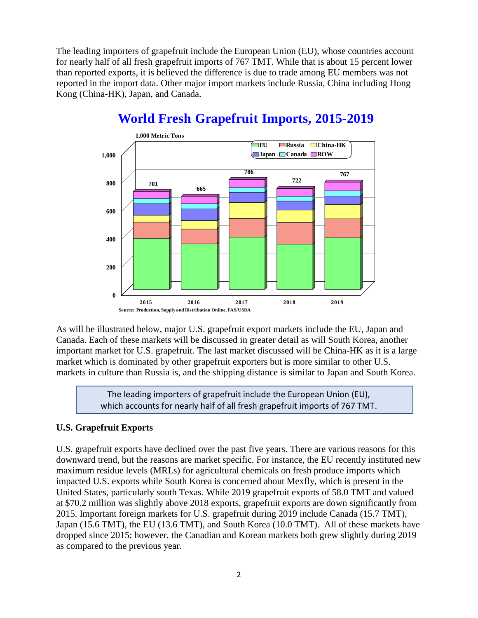The leading importers of grapefruit include the European Union (EU), whose countries account for nearly half of all fresh grapefruit imports of 767 TMT. While that is about 15 percent lower than reported exports, it is believed the difference is due to trade among EU members was not reported in the import data. Other major import markets include Russia, China including Hong Kong (China-HK), Japan, and Canada.



# **World Fresh Grapefruit Imports, 2015-2019**

As will be illustrated below, major U.S. grapefruit export markets include the EU, Japan and Canada. Each of these markets will be discussed in greater detail as will South Korea, another important market for U.S. grapefruit. The last market discussed will be China-HK as it is a large market which is dominated by other grapefruit exporters but is more similar to other U.S. markets in culture than Russia is, and the shipping distance is similar to Japan and South Korea.

> The leading importers of grapefruit include the European Union (EU), which accounts for nearly half of all fresh grapefruit imports of 767 TMT.

### **U.S. Grapefruit Exports**

U.S. grapefruit exports have declined over the past five years. There are various reasons for this downward trend, but the reasons are market specific. For instance, the EU recently instituted new maximum residue levels (MRLs) for agricultural chemicals on fresh produce imports which impacted U.S. exports while South Korea is concerned about Mexfly, which is present in the United States, particularly south Texas. While 2019 grapefruit exports of 58.0 TMT and valued at \$70.2 million was slightly above 2018 exports, grapefruit exports are down significantly from 2015. Important foreign markets for U.S. grapefruit during 2019 include Canada (15.7 TMT), Japan (15.6 TMT), the EU (13.6 TMT), and South Korea (10.0 TMT). All of these markets have dropped since 2015; however, the Canadian and Korean markets both grew slightly during 2019 as compared to the previous year.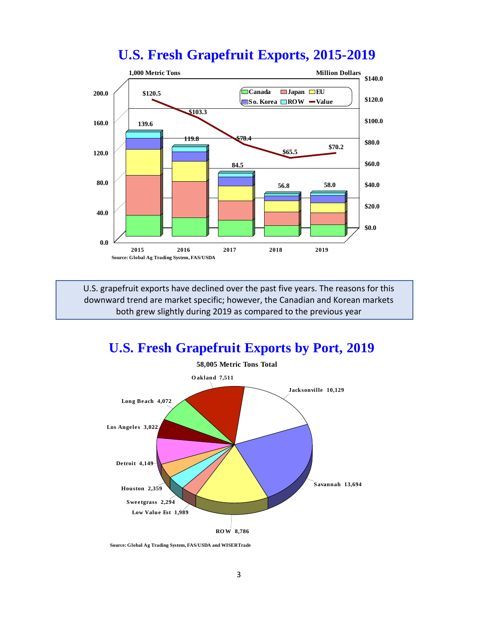### **U.S. Fresh Grapefruit Exports, 2015-2019**



U.S. grapefruit exports have declined over the past five years. The reasons for this downward trend are market specific; however, the Canadian and Korean markets both grew slightly during 2019 as compared to the previous year

### **U.S. Fresh Grapefruit Exports by Port, 2019**



**Source: Global Ag Trading System, FAS/USDA and WISERTrade**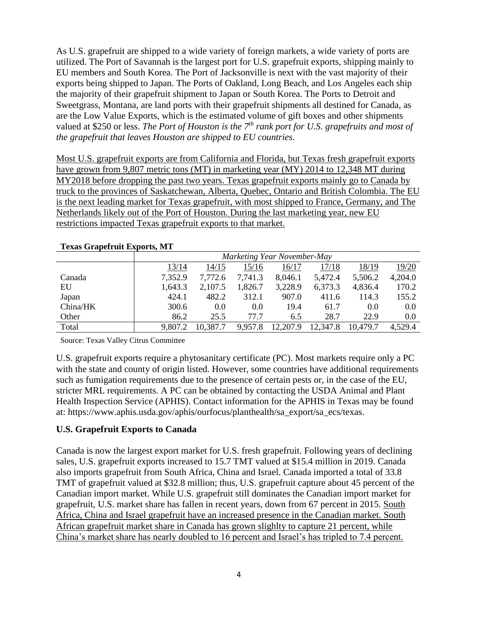As U.S. grapefruit are shipped to a wide variety of foreign markets, a wide variety of ports are utilized. The Port of Savannah is the largest port for U.S. grapefruit exports, shipping mainly to EU members and South Korea. The Port of Jacksonville is next with the vast majority of their exports being shipped to Japan. The Ports of Oakland, Long Beach, and Los Angeles each ship the majority of their grapefruit shipment to Japan or South Korea. The Ports to Detroit and Sweetgrass, Montana, are land ports with their grapefruit shipments all destined for Canada, as are the Low Value Exports, which is the estimated volume of gift boxes and other shipments valued at \$250 or less. *The Port of Houston is the 7th rank port for U.S. grapefruits and most of the grapefruit that leaves Houston are shipped to EU countries.*

Most U.S. grapefruit exports are from California and Florida, but Texas fresh grapefruit exports have grown from 9,807 metric tons (MT) in marketing year (MY) 2014 to 12,348 MT during MY2018 before dropping the past two years. Texas grapefruit exports mainly go to Canada by truck to the provinces of Saskatchewan, Alberta, Quebec, Ontario and British Colombia. The EU is the next leading market for Texas grapefruit, with most shipped to France, Germany, and The Netherlands likely out of the Port of Houston. During the last marketing year, new EU restrictions impacted Texas grapefruit exports to that market.

|          | $\cdots$                    |          |         |          |          |          |         |
|----------|-----------------------------|----------|---------|----------|----------|----------|---------|
|          | Marketing Year November-May |          |         |          |          |          |         |
|          | 13/14                       | 14/15    | 15/16   | 16/17    | 17/18    | 18/19    | 19/20   |
| Canada   | 7,352.9                     | 7,772.6  | 7,741.3 | 8,046.1  | 5,472.4  | 5,506.2  | 4,204.0 |
| EU       | 1,643.3                     | 2,107.5  | 1,826.7 | 3,228.9  | 6,373.3  | 4,836.4  | 170.2   |
| Japan    | 424.1                       | 482.2    | 312.1   | 907.0    | 411.6    | 114.3    | 155.2   |
| China/HK | 300.6                       | 0.0      | 0.0     | 19.4     | 61.7     | 0.0      | 0.0     |
| Other    | 86.2                        | 25.5     | 77.7    | 6.5      | 28.7     | 22.9     | 0.0     |
| Total    | 9.807.2                     | 10,387.7 | 9,957.8 | 12,207.9 | 12,347.8 | 10,479.7 | 4,529.4 |

#### **Texas Grapefruit Exports, MT**

Source: Texas Valley Citrus Committee

U.S. grapefruit exports require a phytosanitary certificate (PC). Most markets require only a PC with the state and county of origin listed. However, some countries have additional requirements such as fumigation requirements due to the presence of certain pests or, in the case of the EU, stricter MRL requirements. A PC can be obtained by contacting the USDA Animal and Plant Health Inspection Service (APHIS). Contact information for the APHIS in Texas may be found at: https://www.aphis.usda.gov/aphis/ourfocus/planthealth/sa\_export/sa\_ecs/texas.

### **U.S. Grapefruit Exports to Canada**

Canada is now the largest export market for U.S. fresh grapefruit. Following years of declining sales, U.S. grapefruit exports increased to 15.7 TMT valued at \$15.4 million in 2019. Canada also imports grapefruit from South Africa, China and Israel. Canada imported a total of 33.8 TMT of grapefruit valued at \$32.8 million; thus, U.S. grapefruit capture about 45 percent of the Canadian import market. While U.S. grapefruit still dominates the Canadian import market for grapefruit, U.S. market share has fallen in recent years, down from 67 percent in 2015. South Africa, China and Israel grapefruit have an increased presence in the Canadian market. South African grapefruit market share in Canada has grown slighlty to capture 21 percent, while China's market share has nearly doubled to 16 percent and Israel's has tripled to 7.4 percent.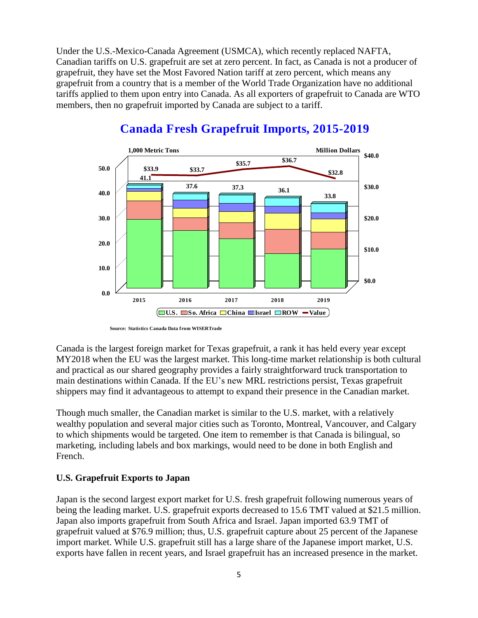Under the U.S.-Mexico-Canada Agreement (USMCA), which recently replaced NAFTA, Canadian tariffs on U.S. grapefruit are set at zero percent. In fact, as Canada is not a producer of grapefruit, they have set the Most Favored Nation tariff at zero percent, which means any grapefruit from a country that is a member of the World Trade Organization have no additional tariffs applied to them upon entry into Canada. As all exporters of grapefruit to Canada are WTO members, then no grapefruit imported by Canada are subject to a tariff.



### **Canada Fresh Grapefruit Imports, 2015-2019**

Canada is the largest foreign market for Texas grapefruit, a rank it has held every year except MY2018 when the EU was the largest market. This long-time market relationship is both cultural and practical as our shared geography provides a fairly straightforward truck transportation to main destinations within Canada. If the EU's new MRL restrictions persist, Texas grapefruit shippers may find it advantageous to attempt to expand their presence in the Canadian market.

Though much smaller, the Canadian market is similar to the U.S. market, with a relatively wealthy population and several major cities such as Toronto, Montreal, Vancouver, and Calgary to which shipments would be targeted. One item to remember is that Canada is bilingual, so marketing, including labels and box markings, would need to be done in both English and French.

### **U.S. Grapefruit Exports to Japan**

Japan is the second largest export market for U.S. fresh grapefruit following numerous years of being the leading market. U.S. grapefruit exports decreased to 15.6 TMT valued at \$21.5 million. Japan also imports grapefruit from South Africa and Israel. Japan imported 63.9 TMT of grapefruit valued at \$76.9 million; thus, U.S. grapefruit capture about 25 percent of the Japanese import market. While U.S. grapefruit still has a large share of the Japanese import market, U.S. exports have fallen in recent years, and Israel grapefruit has an increased presence in the market.

**Source: Statistics Canada Data from WISERTrade**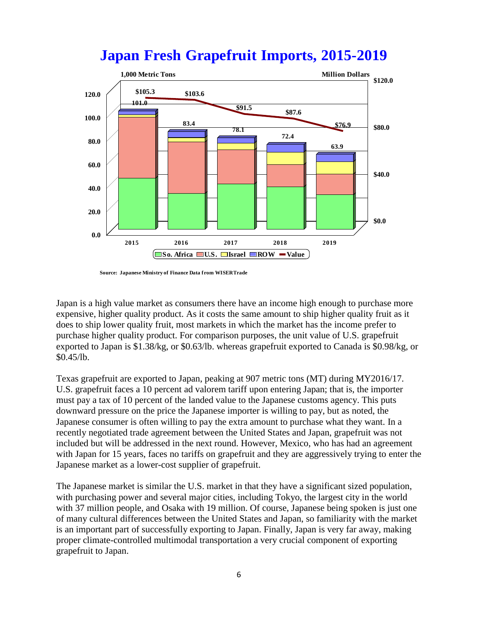

# **Japan Fresh Grapefruit Imports, 2015-2019**

**Source: Japanese Ministry of Finance Data from WISERTrade**

Japan is a high value market as consumers there have an income high enough to purchase more expensive, higher quality product. As it costs the same amount to ship higher quality fruit as it does to ship lower quality fruit, most markets in which the market has the income prefer to purchase higher quality product. For comparison purposes, the unit value of U.S. grapefruit exported to Japan is \$1.38/kg, or \$0.63/lb. whereas grapefruit exported to Canada is \$0.98/kg, or \$0.45/lb.

Texas grapefruit are exported to Japan, peaking at 907 metric tons (MT) during MY2016/17. U.S. grapefruit faces a 10 percent ad valorem tariff upon entering Japan; that is, the importer must pay a tax of 10 percent of the landed value to the Japanese customs agency. This puts downward pressure on the price the Japanese importer is willing to pay, but as noted, the Japanese consumer is often willing to pay the extra amount to purchase what they want. In a recently negotiated trade agreement between the United States and Japan, grapefruit was not included but will be addressed in the next round. However, Mexico, who has had an agreement with Japan for 15 years, faces no tariffs on grapefruit and they are aggressively trying to enter the Japanese market as a lower-cost supplier of grapefruit.

The Japanese market is similar the U.S. market in that they have a significant sized population, with purchasing power and several major cities, including Tokyo, the largest city in the world with 37 million people, and Osaka with 19 million. Of course, Japanese being spoken is just one of many cultural differences between the United States and Japan, so familiarity with the market is an important part of successfully exporting to Japan. Finally, Japan is very far away, making proper climate-controlled multimodal transportation a very crucial component of exporting grapefruit to Japan.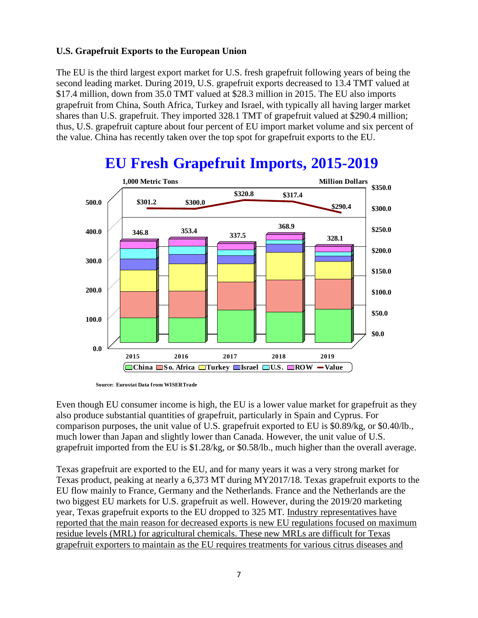### **U.S. Grapefruit Exports to the European Union**

The EU is the third largest export market for U.S. fresh grapefruit following years of being the second leading market. During 2019, U.S. grapefruit exports decreased to 13.4 TMT valued at \$17.4 million, down from 35.0 TMT valued at \$28.3 million in 2015. The EU also imports grapefruit from China, South Africa, Turkey and Israel, with typically all having larger market shares than U.S. grapefruit. They imported 328.1 TMT of grapefruit valued at \$290.4 million; thus, U.S. grapefruit capture about four percent of EU import market volume and six percent of the value. China has recently taken over the top spot for grapefruit exports to the EU.



# **EU Fresh Grapefruit Imports, 2015-2019**

**Source: Eurostat Data from WISERTrade**

Even though EU consumer income is high, the EU is a lower value market for grapefruit as they also produce substantial quantities of grapefruit, particularly in Spain and Cyprus. For comparison purposes, the unit value of U.S. grapefruit exported to EU is \$0.89/kg, or \$0.40/lb., much lower than Japan and slightly lower than Canada. However, the unit value of U.S. grapefruit imported from the EU is \$1.28/kg, or \$0.58/lb., much higher than the overall average.

Texas grapefruit are exported to the EU, and for many years it was a very strong market for Texas product, peaking at nearly a 6,373 MT during MY2017/18. Texas grapefruit exports to the EU flow mainly to France, Germany and the Netherlands. France and the Netherlands are the two biggest EU markets for U.S. grapefruit as well. However, during the 2019/20 marketing year, Texas grapefruit exports to the EU dropped to 325 MT. Industry representatives have reported that the main reason for decreased exports is new EU regulations focused on maximum residue levels (MRL) for agricultural chemicals. These new MRLs are difficult for Texas grapefruit exporters to maintain as the EU requires treatments for various citrus diseases and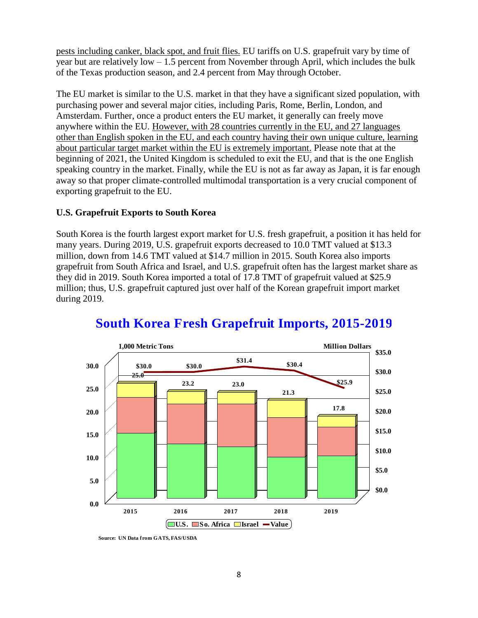pests including canker, black spot, and fruit flies. EU tariffs on U.S. grapefruit vary by time of year but are relatively low – 1.5 percent from November through April, which includes the bulk of the Texas production season, and 2.4 percent from May through October.

The EU market is similar to the U.S. market in that they have a significant sized population, with purchasing power and several major cities, including Paris, Rome, Berlin, London, and Amsterdam. Further, once a product enters the EU market, it generally can freely move anywhere within the EU. However, with 28 countries currently in the EU, and 27 languages other than English spoken in the EU, and each country having their own unique culture, learning about particular target market within the EU is extremely important. Please note that at the beginning of 2021, the United Kingdom is scheduled to exit the EU, and that is the one English speaking country in the market. Finally, while the EU is not as far away as Japan, it is far enough away so that proper climate-controlled multimodal transportation is a very crucial component of exporting grapefruit to the EU.

### **U.S. Grapefruit Exports to South Korea**

South Korea is the fourth largest export market for U.S. fresh grapefruit, a position it has held for many years. During 2019, U.S. grapefruit exports decreased to 10.0 TMT valued at \$13.3 million, down from 14.6 TMT valued at \$14.7 million in 2015. South Korea also imports grapefruit from South Africa and Israel, and U.S. grapefruit often has the largest market share as they did in 2019. South Korea imported a total of 17.8 TMT of grapefruit valued at \$25.9 million; thus, U.S. grapefruit captured just over half of the Korean grapefruit import market during 2019.



### **South Korea Fresh Grapefruit Imports, 2015-2019**

**Source: UN Data from GATS, FAS/USDA**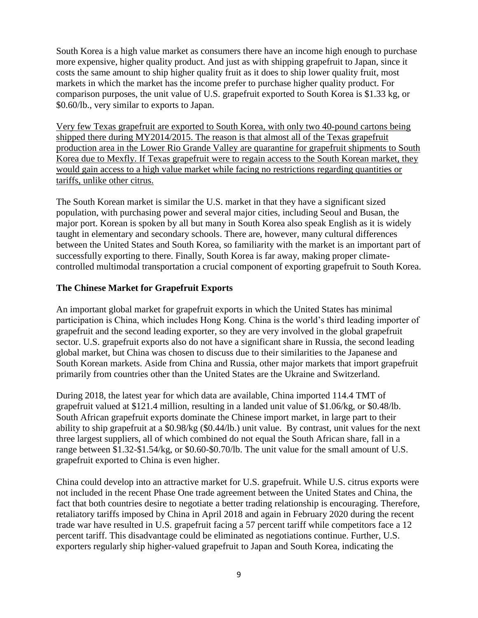South Korea is a high value market as consumers there have an income high enough to purchase more expensive, higher quality product. And just as with shipping grapefruit to Japan, since it costs the same amount to ship higher quality fruit as it does to ship lower quality fruit, most markets in which the market has the income prefer to purchase higher quality product. For comparison purposes, the unit value of U.S. grapefruit exported to South Korea is \$1.33 kg, or \$0.60/lb., very similar to exports to Japan.

Very few Texas grapefruit are exported to South Korea, with only two 40-pound cartons being shipped there during MY2014/2015. The reason is that almost all of the Texas grapefruit production area in the Lower Rio Grande Valley are quarantine for grapefruit shipments to South Korea due to Mexfly. If Texas grapefruit were to regain access to the South Korean market, they would gain access to a high value market while facing no restrictions regarding quantities or tariffs, unlike other citrus.

The South Korean market is similar the U.S. market in that they have a significant sized population, with purchasing power and several major cities, including Seoul and Busan, the major port. Korean is spoken by all but many in South Korea also speak English as it is widely taught in elementary and secondary schools. There are, however, many cultural differences between the United States and South Korea, so familiarity with the market is an important part of successfully exporting to there. Finally, South Korea is far away, making proper climatecontrolled multimodal transportation a crucial component of exporting grapefruit to South Korea.

### **The Chinese Market for Grapefruit Exports**

An important global market for grapefruit exports in which the United States has minimal participation is China, which includes Hong Kong. China is the world's third leading importer of grapefruit and the second leading exporter, so they are very involved in the global grapefruit sector. U.S. grapefruit exports also do not have a significant share in Russia, the second leading global market, but China was chosen to discuss due to their similarities to the Japanese and South Korean markets. Aside from China and Russia, other major markets that import grapefruit primarily from countries other than the United States are the Ukraine and Switzerland.

During 2018, the latest year for which data are available, China imported 114.4 TMT of grapefruit valued at \$121.4 million, resulting in a landed unit value of \$1.06/kg, or \$0.48/lb. South African grapefruit exports dominate the Chinese import market, in large part to their ability to ship grapefruit at a \$0.98/kg (\$0.44/lb.) unit value. By contrast, unit values for the next three largest suppliers, all of which combined do not equal the South African share, fall in a range between \$1.32-\$1.54/kg, or \$0.60-\$0.70/lb. The unit value for the small amount of U.S. grapefruit exported to China is even higher.

China could develop into an attractive market for U.S. grapefruit. While U.S. citrus exports were not included in the recent Phase One trade agreement between the United States and China, the fact that both countries desire to negotiate a better trading relationship is encouraging. Therefore, retaliatory tariffs imposed by China in April 2018 and again in February 2020 during the recent trade war have resulted in U.S. grapefruit facing a 57 percent tariff while competitors face a 12 percent tariff. This disadvantage could be eliminated as negotiations continue. Further, U.S. exporters regularly ship higher-valued grapefruit to Japan and South Korea, indicating the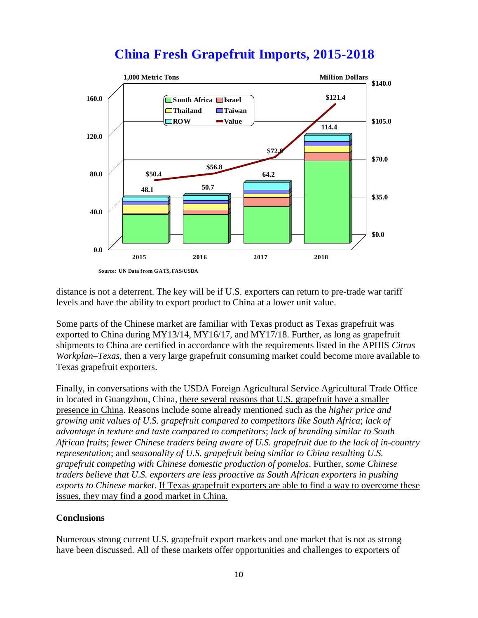

# **China Fresh Grapefruit Imports, 2015-2018**

distance is not a deterrent. The key will be if U.S. exporters can return to pre-trade war tariff levels and have the ability to export product to China at a lower unit value.

Some parts of the Chinese market are familiar with Texas product as Texas grapefruit was exported to China during MY13/14, MY16/17, and MY17/18. Further, as long as grapefruit shipments to China are certified in accordance with the requirements listed in the APHIS *Citrus Workplan–Texas*, then a very large grapefruit consuming market could become more available to Texas grapefruit exporters.

Finally, in conversations with the USDA Foreign Agricultural Service Agricultural Trade Office in located in Guangzhou, China, there several reasons that U.S. grapefruit have a smaller presence in China. Reasons include some already mentioned such as the *higher price and growing unit values of U.S. grapefruit compared to competitors like South Africa*; *lack of advantage in texture and taste compared to competitors*; *lack of branding similar to South African fruits*; *fewer Chinese traders being aware of U.S. grapefruit due to the lack of in-country representation*; and *seasonality of U.S. grapefruit being similar to China resulting U.S. grapefruit competing with Chinese domestic production of pomelos*. Further, *some Chinese traders believe that U.S. exporters are less proactive as South African exporters in pushing exports to Chinese market*. If Texas grapefruit exporters are able to find a way to overcome these issues, they may find a good market in China.

#### **Conclusions**

Numerous strong current U.S. grapefruit export markets and one market that is not as strong have been discussed. All of these markets offer opportunities and challenges to exporters of